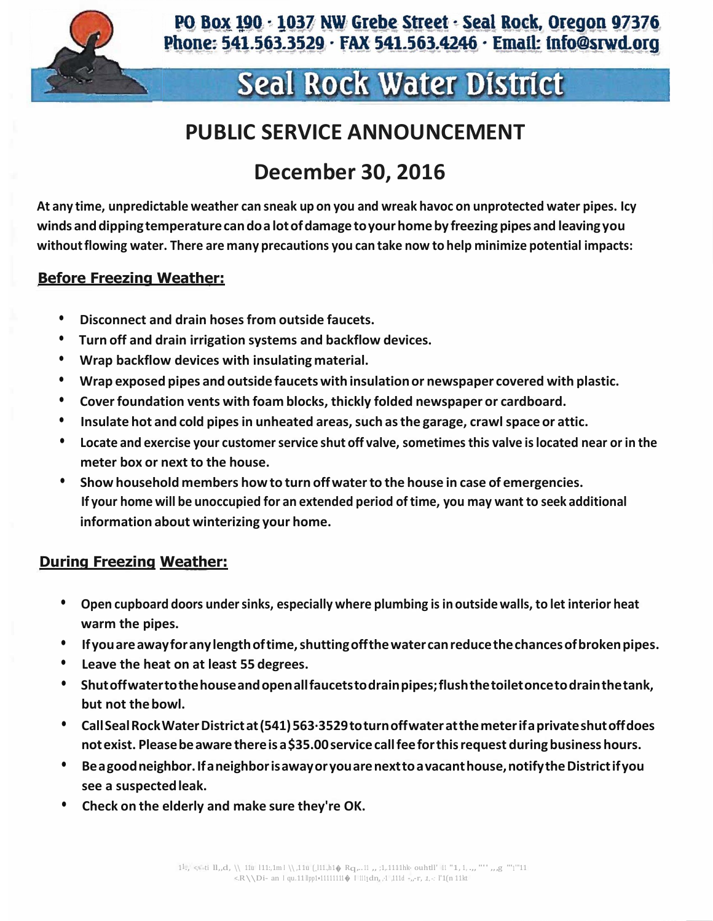

# Seal Rock Water District

### **PUBLIC SERVICE ANNOUNCEMENT**

## **December 30, 2016**

**At any time, unpredictable weather can sneak up on you and wreak havoc on unprotected water pipes. Icy winds anddippingtemperaturecandoalotofdamage toyourhomeby freezing pipes and leaving you withoutflowing water. There are many precautions you can take now to help minimize potential impacts:**

#### **Before Freezing Weather:**

- **• Disconnect and drain hosesfrom outside faucets.**
- **• Turn off and drain irrigation systems and backflow devices.**
- **• Wrap backflow devices with insulating material.**
- **• Wrap exposed pipes and outside faucets with insulationor newspaper covered with plastic.**
- **• Coverfoundation vents with foam blocks, thickly folded newspaper or cardboard.**
- **• Insulate hot and cold pipesin unheated areas,such asthe garage, crawlspace or attic.**
- **• Locate and exercise your customerservice shut off valve, sometimesthis valve islocated near or in the meter box or next to the house.**
- **• Show household members how to turn offwaterto the house in case of emergencies. If your home will be unoccupied for an extended period oftime, you may want to seek additional information about winterizing your home.**

#### **During Freezing Weather:**

- **• Open cupboard doors undersinks, especially where plumbing isin outsidewalls, to let interior heat warm the pipes.**
- **• Ifyouareawayforanylengthoftime,shuttingoffthewatercanreducethechancesofbrokenpipes.**
- **• Leave the heat on at least 55 degrees.**
- **• Shutoffwatertothehouseandopenallfaucetstodrainpipes;flushthetoiletoncetodrainthetank, but not thebowl.**
- **• CallSealRockWaterDistrictat(541)563·3529toturnoffwateratthemeterifaprivateshutoffdoes notexist. Pleasebeaware thereis a\$35.00servicecallfeeforthisrequest during businesshours.**
- **• Beagoodneighbor.Ifaneighborisawayoryouarenexttoavacanthouse,notifytheDistrictifyou see a suspectedleak.**
- **• Check on the elderly and make sure they're OK.**